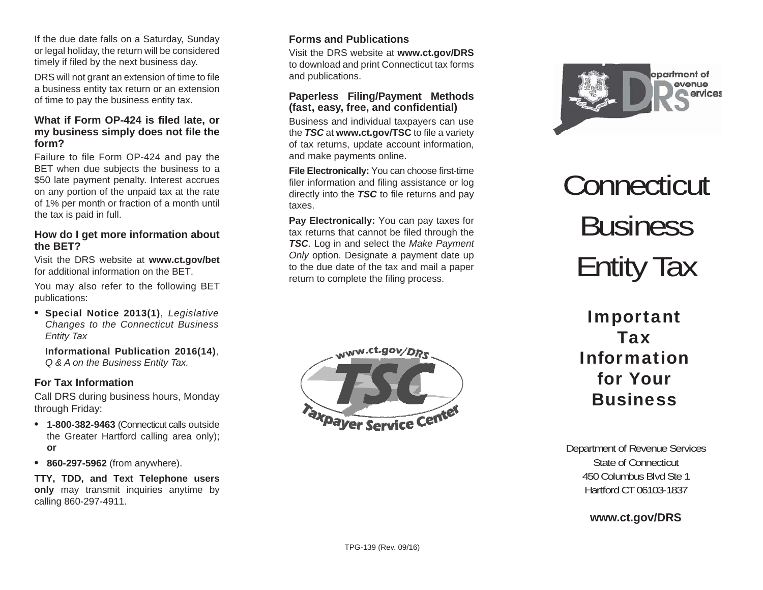If the due date falls on a Saturday, Sunday or legal holiday, the return will be considered timely if filed by the next business day.

DRS will not grant an extension of time to file a business entity tax return or an extension of time to pay the business entity tax.

#### **What if Form OP-424 is fi led late, or my business simply does not fi le the form?**

Failure to file Form OP-424 and pay the BET when due subjects the business to a \$50 late payment penalty. Interest accrues on any portion of the unpaid tax at the rate of 1% per month or fraction of a month until the tax is paid in full.

### **How do I get more information about the BET?**

Visit the DRS website at **www.ct.gov/bet**  for additional information on the BFT

You may also refer to the following BET publications:

**• Special Notice 2013(1)**, *Legislative Changes to the Connecticut Business Entity Tax*

**Informational Publication 2016(14)**, *Q & A on the Business Entity Tax.*

# **For Tax Information**

Call DRS during business hours, Monday through Friday:

- **• 1-800-382-9463** (Connecticut calls outside the Greater Hartford calling area only); **or**
- **860-297-5962** (from anywhere).

**TTY, TDD, and Text Telephone users only** may transmit inquiries anytime by calling 860-297-4911.

# **Forms and Publications**

Visit the DRS website at **www.ct.gov/DRS** to download and print Connecticut tax forms and publications.

#### **Paperless Filing/Payment Methods (fast, easy, free, and con fi dential)**

Business and individual taxpayers can use the **TSC** at www.ct.gov/TSC to file a variety of tax returns, update account information, and make payments online.

**File Electronically:** You can choose first-time filer information and filing assistance or log directly into the **TSC** to file returns and pay taxes.

**Pay Electronically:** You can pay taxes for tax returns that cannot be filed through the *TSC*. Log in and select the *Make Payment Only* option. Designate a payment date up to the due date of the tax and mail a paper return to complete the filing process.





# **Connecticut** Business Entity Tax

# Important TaxInformation for Your**Business**

Department of Revenue Services State of Connecticut450 Columbus Blvd Ste 1Hartford CT 06103-1837

# **www.ct.gov/DRS**